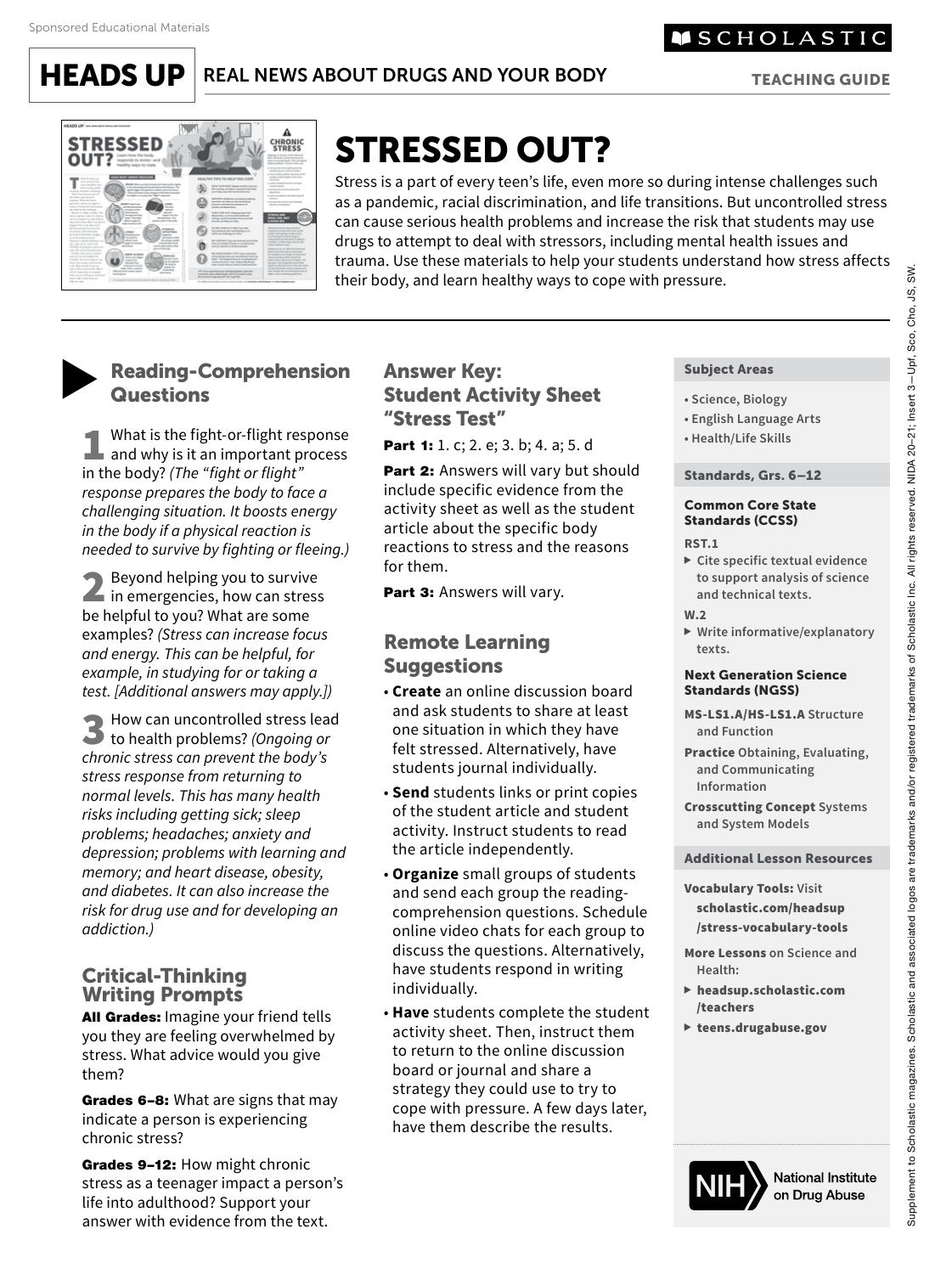**HEADS UP** REAL NEWS ABOUT DRUGS AND YOUR BODY

TEACHING GUIDE

**SCHOLASTIC** 



# STRESSED OUT?

Stress is a part of every teen's life, even more so during intense challenges such as a pandemic, racial discrimination, and life transitions. But uncontrolled stress can cause serious health problems and increase the risk that students may use drugs to attempt to deal with stressors, including mental health issues and trauma. Use these materials to help your students understand how stress affects their body, and learn healthy ways to cope with pressure.

# **Reading-Comprehension Questions**

**1** What is the fight-or-flight response<br>and why is it an important process<br>in the hody? (The "fight or flight" in the body? *(The "fight or flight" response prepares the body to face a challenging situation. It boosts energy in the body if a physical reaction is needed to survive by fighting or fleeing.)*

2 Beyond helping you to survive<br>in emergencies, how can stress<br>be helpful to you? What are some be helpful to you? What are some examples? *(Stress can increase focus and energy. This can be helpful, for example, in studying for or taking a test. [Additional answers may apply.])*

3 How can uncontrolled stress lead to health problems? *(Ongoing or chronic stress can prevent the body's stress response from returning to normal levels. This has many health risks including getting sick; sleep problems; headaches; anxiety and depression; problems with learning and memory; and heart disease, obesity, and diabetes. It can also increase the risk for drug use and for developing an addiction.)* 

### Critical-Thinking Writing Prompts

**All Grades: Imagine your friend tells** you they are feeling overwhelmed by stress. What advice would you give them?

Grades 6-8: What are signs that may indicate a person is experiencing chronic stress?

Grades 9-12: How might chronic stress as a teenager impact a person's life into adulthood? Support your answer with evidence from the text.

## Answer Key: Student Activity Sheet "Stress Test"

Part 1: 1. c; 2. e; 3. b; 4. a; 5. d

Part 2: Answers will vary but should include specific evidence from the activity sheet as well as the student article about the specific body reactions to stress and the reasons for them.

Part 3: Answers will vary.

# Remote Learning **Suggestions**

- **Create** an online discussion board and ask students to share at least one situation in which they have felt stressed. Alternatively, have students journal individually.
- **Send** students links or print copies of the student article and student activity. Instruct students to read the article independently.
- **Organize** small groups of students and send each group the readingcomprehension questions. Schedule online video chats for each group to discuss the questions. Alternatively, have students respond in writing individually.
- **Have** students complete the student activity sheet. Then, instruct them to return to the online discussion board or journal and share a strategy they could use to try to cope with pressure. A few days later, have them describe the results.

#### Subject Areas

- **Science, Biology**
- **English Language Arts**
- **Health/Life Skills**

#### Standards, Grs. 6–12

#### Common Core State Standards (CCSS)

#### **RST.1**

- **Cite specific textual evidence to support analysis of science and technical texts.**
- **W.2**
- **Write informative/explanatory texts.**

#### Next Generation Science Standards (NGSS)

- MS-LS1.A/HS-LS1.A **Structure and Function**
- Practice **Obtaining, Evaluating, and Communicating Information**

Crosscutting Concept **Systems and System Models**

#### Additional Lesson Resources

Vocabulary Tools: **Visit** scholastic.com/headsup [/stress-vocabulary-tools](http://scholastic.com/headsup/stress-vocabulary-tools)

More Lessons **on Science and Health:**

- [headsup.scholastic.com](http://headsup.scholastic.com/teachers) /teachers
- [teens.drugabuse.gov](http://teens.drugabuse.gov)